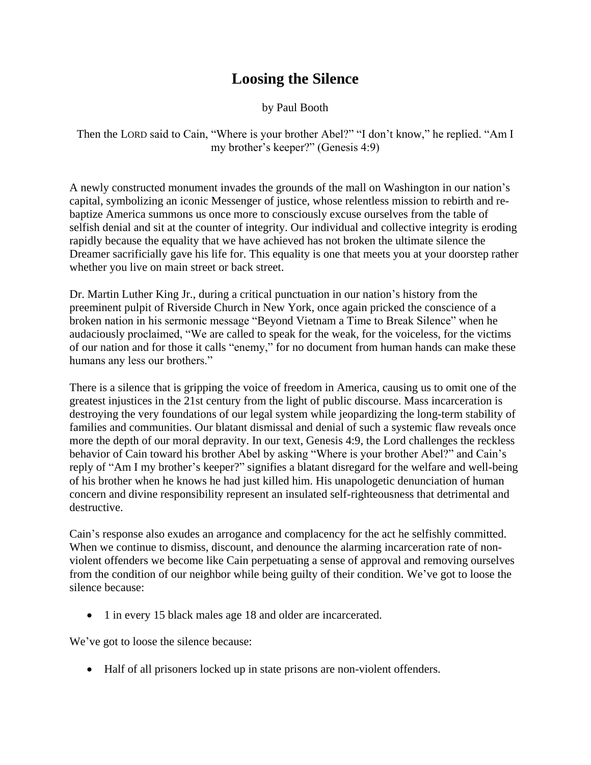## **Loosing the Silence**

## by Paul Booth

Then the LORD said to Cain, "Where is your brother Abel?" "I don't know," he replied. "Am I my brother's keeper?" (Genesis 4:9)

A newly constructed monument invades the grounds of the mall on Washington in our nation's capital, symbolizing an iconic Messenger of justice, whose relentless mission to rebirth and rebaptize America summons us once more to consciously excuse ourselves from the table of selfish denial and sit at the counter of integrity. Our individual and collective integrity is eroding rapidly because the equality that we have achieved has not broken the ultimate silence the Dreamer sacrificially gave his life for. This equality is one that meets you at your doorstep rather whether you live on main street or back street.

Dr. Martin Luther King Jr., during a critical punctuation in our nation's history from the preeminent pulpit of Riverside Church in New York, once again pricked the conscience of a broken nation in his sermonic message "Beyond Vietnam a Time to Break Silence" when he audaciously proclaimed, "We are called to speak for the weak, for the voiceless, for the victims of our nation and for those it calls "enemy," for no document from human hands can make these humans any less our brothers."

There is a silence that is gripping the voice of freedom in America, causing us to omit one of the greatest injustices in the 21st century from the light of public discourse. Mass incarceration is destroying the very foundations of our legal system while jeopardizing the long-term stability of families and communities. Our blatant dismissal and denial of such a systemic flaw reveals once more the depth of our moral depravity. In our text, Genesis 4:9, the Lord challenges the reckless behavior of Cain toward his brother Abel by asking "Where is your brother Abel?" and Cain's reply of "Am I my brother's keeper?" signifies a blatant disregard for the welfare and well-being of his brother when he knows he had just killed him. His unapologetic denunciation of human concern and divine responsibility represent an insulated self-righteousness that detrimental and destructive.

Cain's response also exudes an arrogance and complacency for the act he selfishly committed. When we continue to dismiss, discount, and denounce the alarming incarceration rate of nonviolent offenders we become like Cain perpetuating a sense of approval and removing ourselves from the condition of our neighbor while being guilty of their condition. We've got to loose the silence because:

• 1 in every 15 black males age 18 and older are incarcerated.

We've got to loose the silence because:

Half of all prisoners locked up in state prisons are non-violent offenders.